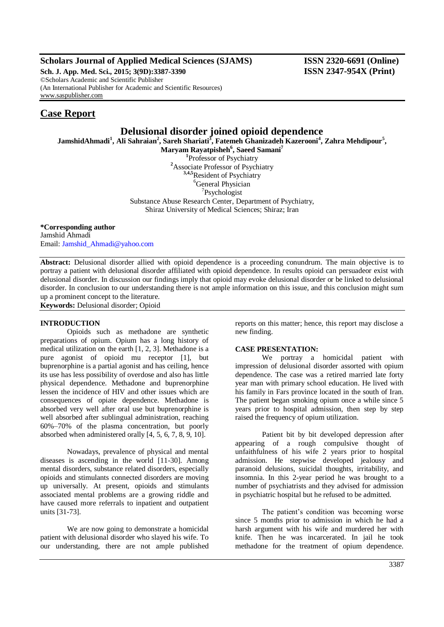# **Scholars Journal of Applied Medical Sciences (SJAMS) ISSN 2320-6691 (Online)**

**Sch. J. App. Med. Sci., 2015; 3(9D):3387-3390 ISSN 2347-954X (Print)** ©Scholars Academic and Scientific Publisher (An International Publisher for Academic and Scientific Resources) [www.saspublisher.com](http://www.saspublisher.com/)

# **Case Report**

# **Delusional disorder joined opioid dependence**

**JamshidAhmadi<sup>1</sup> , Ali Sahraian<sup>2</sup> , Sareh Shariati<sup>3</sup> , Fatemeh Ghanizadeh Kazerooni<sup>4</sup> , Zahra Mehdipour<sup>5</sup> ,** 

- **Maryam Rayatpisheh<sup>6</sup> , Saeed Samani<sup>7</sup> 1** Professor of Psychiatry
- **<sup>2</sup>**Associate Professor of Psychiatry **3,4,5**Resident of Psychiatry

<sup>6</sup>General Physician 7 Psychologist Substance Abuse Research Center, Department of Psychiatry,

Shiraz University of Medical Sciences; Shiraz; Iran

**\*Corresponding author**

Jamshid Ahmadi Email: [Jamshid\\_Ahmadi@yahoo.com](mailto:Jamshid_Ahmadi@yahoo.com)

**Abstract:** Delusional disorder allied with opioid dependence is a proceeding conundrum. The main objective is to portray a patient with delusional disorder affiliated with opioid dependence. In results opioid can persuadeor exist with delusional disorder. In discussion our findings imply that opioid may evoke delusional disorder or be linked to delusional disorder. In conclusion to our understanding there is not ample information on this issue, and this conclusion might sum up a prominent concept to the literature.

**Keywords:** Delusional disorder; Opioid

## **INTRODUCTION**

Opioids such as methadone are synthetic preparations of opium. Opium has a long history of medical utilization on the earth [1, 2, 3]. Methadone is a pure agonist of opioid mu receptor [1], but buprenorphine is a partial agonist and has ceiling, hence its use has less possibility of overdose and also has little physical dependence. Methadone and buprenorphine lessen the incidence of HIV and other issues which are consequences of opiate dependence. Methadone is absorbed very well after oral use but buprenorphine is well absorbed after sublingual administration, reaching 60%–70% of the plasma concentration, but poorly absorbed when administered orally [4, 5, 6, 7, 8, 9, 10].

Nowadays, prevalence of physical and mental diseases is ascending in the world [11-30]. Among mental disorders, substance related disorders, especially opioids and stimulants connected disorders are moving up universally. At present, opioids and stimulants associated mental problems are a growing riddle and have caused more referrals to inpatient and outpatient units [31-73].

We are now going to demonstrate a homicidal patient with delusional disorder who slayed his wife. To our understanding, there are not ample published reports on this matter; hence, this report may disclose a new finding.

## **CASE PRESENTATION:**

We portray a homicidal patient with impression of delusional disorder assorted with opium dependence. The case was a retired married late forty year man with primary school education. He lived with his family in Fars province located in the south of Iran. The patient began smoking opium once a while since 5 years prior to hospital admission, then step by step raised the frequency of opium utilization.

Patient bit by bit developed depression after appearing of a rough compulsive thought of unfaithfulness of his wife 2 years prior to hospital admission. He stepwise developed jealousy and paranoid delusions, suicidal thoughts, irritability, and insomnia. In this 2-year period he was brought to a number of psychiatrists and they advised for admission in psychiatric hospital but he refused to be admitted.

The patient's condition was becoming worse since 5 months prior to admission in which he had a harsh argument with his wife and murdered her with knife. Then he was incarcerated. In jail he took methadone for the treatment of opium dependence.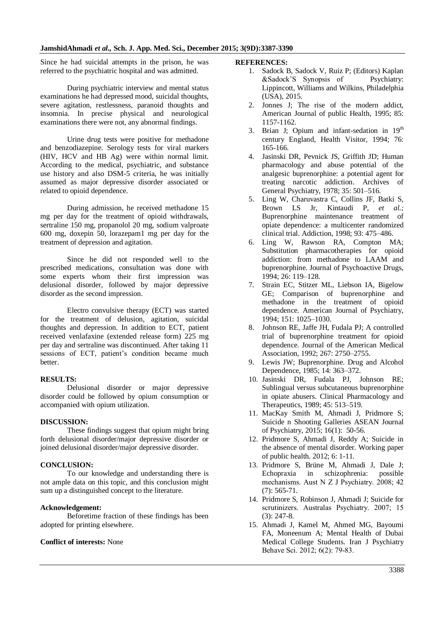Since he had suicidal attempts in the prison, he was referred to the psychiatric hospital and was admitted.

During psychiatric interview and mental status examinations he had depressed mood, suicidal thoughts, severe agitation, restlessness, paranoid thoughts and insomnia. In precise physical and neurological examinations there were not, any abnormal findings.

Urine drug tests were positive for methadone and benzodiazepine. Serology tests for viral markers (HIV, HCV and HB Ag) were within normal limit. According to the medical, psychiatric, and substance use history and also DSM-5 criteria, he was initially assumed as major depressive disorder associated or related to opioid dependence.

During admission, he received methadone 15 mg per day for the treatment of opioid withdrawals, sertraline 150 mg, propanolol 20 mg, sodium valproate 600 mg, doxepin 50, lorazepam1 mg per day for the treatment of depression and agitation.

Since he did not responded well to the prescribed medications, consultation was done with some experts whom their first impression was delusional disorder, followed by major depressive disorder as the second impression.

Electro convulsive therapy (ECT) was started for the treatment of delusion, agitation, suicidal thoughts and depression. In addition to ECT, patient received venlafaxine (extended release form) 225 mg per day and sertraline was discontinued. After taking 11 sessions of ECT, patient's condition became much better.

# **RESULTS:**

Delusional disorder or major depressive disorder could be followed by opium consumption or accompanied with opium utilization.

#### **DISCUSSION:**

These findings suggest that opium might bring forth delusional disorder/major depressive disorder or joined delusional disorder/major depressive disorder.

#### **CONCLUSION:**

To our knowledge and understanding there is not ample data on this topic, and this conclusion might sum up a distinguished concept to the literature.

#### **Acknowledgement:**

Beforetime fraction of these findings has been adopted for printing elsewhere.

## **Conflict of interests:** None

#### **REFERENCES:**

- 1. Sadock B, Sadock V, Ruiz P; (Editors) Kaplan &Sadock'S Synopsis of Psychiatry: Lippincott, Williams and Wilkins, Philadelphia (USA), 2015.
- 2. Jonnes J; The rise of the modern addict, American Journal of public Health, 1995; 85: 1157-1162.
- 3. Brian J; Opium and infant-sedation in 19<sup>th</sup> century England, Health Visitor, 1994; 76: 165-166.
- 4. Jasinski DR, Pevnick JS, Griffith JD; Human pharmacology and abuse potential of the analgesic buprenorphine: a potential agent for treating narcotic addiction. Archives of General Psychiatry, 1978; 35: 501–516.
- 5. Ling W, Charuvastra C, Collins JF, Batki S, Brown LS Jr, Kintaudi P, *et al.;* Buprenorphine maintenance treatment of opiate dependence: a multicenter randomized clinical trial. Addiction, 1998; 93: 475–486.
- 6. Ling W, Rawson RA, Compton MA; Substitution pharmacotherapies for opioid addiction: from methadone to LAAM and buprenorphine. Journal of Psychoactive Drugs, 1994; 26: 119–128.
- 7. Strain EC, Stitzer ML, Liebson IA, Bigelow GE; Comparison of buprenorphine and methadone in the treatment of opioid dependence. American Journal of Psychiatry, 1994; 151: 1025–1030.
- 8. Johnson RE, Jaffe JH, Fudala PJ; A controlled trial of buprenorphine treatment for opioid dependence. Journal of the American Medical Association, 1992; 267: 2750–2755.
- 9. Lewis JW; Buprenorphine. Drug and Alcohol Dependence, 1985; 14: 363–372.
- 10. Jasinski DR, Fudala PJ, Johnson RE; Sublingual versus subcutaneous buprenorphine in opiate abusers. Clinical Pharmacology and Therapeutics, 1989; 45: 513–519.
- 11. MacKay Smith M, Ahmadi J, Pridmore S; Suicide n Shooting Galleries ASEAN Journal of Psychiatry, 2015; 16(1): 50-56.
- 12. Pridmore S, Ahmadi J, Reddy A; Suicide in the absence of mental disorder. Working paper of public health. 2012; 6: 1-11.
- 13. Pridmore S, Brüne M, Ahmadi J, Dale J; Echopraxia in schizophrenia: possible mechanisms. Aust N Z J Psychiatry. 2008; 42 (7): 565-71.
- 14. Pridmore S, Robinson J, Ahmadi J; Suicide for scrutinizers. Australas Psychiatry. 2007; 15 (3): 247-8.
- 15. Ahmadi J, Kamel M, Ahmed MG, Bayoumi FA, Moneenum A; Mental Health of Dubai Medical College Students. Iran J Psychiatry Behave Sci. 2012; 6(2): 79-83.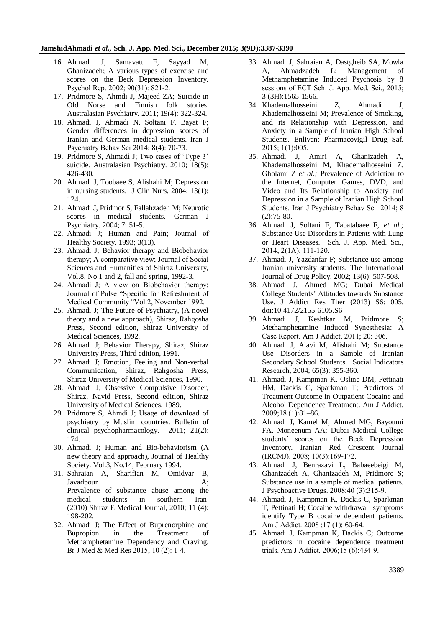#### **JamshidAhmadi** *et al.,* **Sch. J. App. Med. Sci., December 2015; 3(9D):3387-3390**

- 16. Ahmadi J, Samavatt F, Sayyad M, Ghanizadeh; A various types of exercise and scores on the Beck Depression Inventory. Psychol Rep. 2002; 90(31): 821-2.
- 17. Pridmore S, Ahmdi J, Majeed ZA; Suicide in Old Norse and Finnish folk stories. Australasian Psychiatry. 2011; 19(4): 322-324.
- 18. Ahmadi J, Ahmadi N, Soltani F, Bayat F; Gender differences in depression scores of Iranian and German medical students. Iran J Psychiatry Behav Sci 2014; 8(4): 70-73.
- 19. Pridmore S, Ahmadi J; Two cases of 'Type 3' suicide. Australasian Psychiatry. 2010; 18(5): 426-430.
- 20. Ahmadi J, Toobaee S, Alishahi M; Depression in nursing students. J Clin Nurs. 2004; 13(1): 124.
- 21. Ahmadi J, Pridmor S, Fallahzadeh M; Neurotic scores in medical students. German J Psychiatry. 2004; 7: 51-5.
- 22. Ahmadi J; Human and Pain; Journal of Healthy Society, 1993; 3(13).
- 23. Ahmadi J; Behavior therapy and Biobehavior therapy; A comparative view; Journal of Social Sciences and Humanities of Shiraz University, Vol.8. No 1 and 2, fall and spring, 1992-3.
- 24. Ahmadi J; A view on Biobehavior therapy; Journal of Pulse "Specific for Refreshment of Medical Community "Vol.2, November 1992.
- 25. Ahmadi J; The Future of Psychiatry, (A novel theory and a new approach), Shiraz, Rahgosha Press, Second edition, Shiraz University of Medical Sciences, 1992.
- 26. Ahmadi J; Behavior Therapy, Shiraz, Shiraz University Press, Third edition, 1991.
- 27. Ahmadi J; Emotion, Feeling and Non-verbal Communication, Shiraz, Rahgosha Press, Shiraz University of Medical Sciences, 1990.
- 28. Ahmadi J; Obsessive Compulsive Disorder, Shiraz, Navid Press, Second edition, Shiraz University of Medical Sciences, 1989.
- 29. Pridmore S, Ahmdi J; Usage of download of psychiatry by Muslim countries. Bulletin of clinical psychopharmacology. 2011; 21(2): 174.
- 30. Ahmadi J; Human and Bio-behaviorism (A new theory and approach), Journal of Healthy Society. Vol.3, No.14, February 1994.
- 31. Sahraian A, Sharifian M, Omidvar B, Javadpour A; Prevalence of substance abuse among the medical students in southern Iran (2010) Shiraz E Medical Journal, 2010; 11 (4): 198-202.
- 32. Ahmadi J; The Effect of Buprenorphine and Bupropion in the Treatment of Methamphetamine Dependency and Craving. Br J Med & Med Res 2015; 10 (2): 1-4.
- 33. Ahmadi J, Sahraian A, Dastgheib SA, Mowla A, Ahmadzadeh L; Management of Methamphetamine Induced Psychosis by 8 sessions of ECT Sch. J. App. Med. Sci., 2015; 3 (3H):1565-1566.
- 34. Khademalhosseini Z, Ahmadi J, Khademalhosseini M; Prevalence of Smoking, and its Relationship with Depression, and Anxiety in a Sample of Iranian High School Students. Enliven: Pharmacovigil Drug Saf. 2015; 1(1):005.
- 35. Ahmadi J, Amiri A, Ghanizadeh A, Khademalhosseini M, Khademalhosseini Z, Gholami Z *et al.;* Prevalence of Addiction to the Internet, Computer Games, DVD, and Video and Its Relationship to Anxiety and Depression in a Sample of Iranian High School Students. Iran J Psychiatry Behav Sci. 2014; 8 (2):75-80.
- 36. Ahmadi J, Soltani F, Tabatabaee F, *et al.;* Substance Use Disorders in Patients with Lung or Heart Diseases. Sch. J. App. Med. Sci., 2014: 2(1A): 111-120.
- 37. Ahmadi J, Yazdanfar F; Substance use among Iranian university students. The International Journal of Drug Policy. 2002; 13(6): 507-508.
- 38. Ahmadi J, Ahmed MG; Dubai Medical College Students' Attitudes towards Substance Use. J Addict Res Ther (2013) S6: 005. doi:10.4172/2155-6105.S6-
- 39. Ahmadi J, Keshtkar M, Pridmore S; Methamphetamine Induced Synesthesia: A Case Report. Am J Addict. 2011; 20: 306.
- 40. Ahmadi J, Alavi M, Alishahi M; Substance Use Disorders in a Sample of Iranian Secondary School Students. Social Indicators Research, 2004; 65(3): 355-360.
- 41. Ahmadi J, Kampman K, Osline DM, Pettinati HM, Dackis C, Sparkman T; Predictors of Treatment Outcome in Outpatient Cocaine and Alcohol Dependence Treatment. Am J Addict. 2009;18 (1):81–86.
- 42. Ahmadi J, Kamel M, Ahmed MG, Bayoumi FA, Moneenum AA; Dubai Medical College students' scores on the Beck Depression Inventory. Iranian Red Crescent Journal (IRCMJ). 2008; 10(3):169-172.
- 43. Ahmadi J, Benrazavi L, Babaeebeigi M, Ghanizadeh A, Ghanizadeh M, Pridmore S; Substance use in a sample of medical patients. J Psychoactive Drugs. 2008;40 (3):3159.
- 44. Ahmadi J, Kampman K, Dackis C, Sparkman T, Pettinati H; Cocaine withdrawal symptoms identify Type B cocaine dependent patients. Am J Addict. 2008 ;17 (1): 60-64.
- 45. Ahmadi J, Kampman K, Dackis C; Outcome predictors in cocaine dependence treatment trials. Am J Addict. 2006;15 (6):434-9.